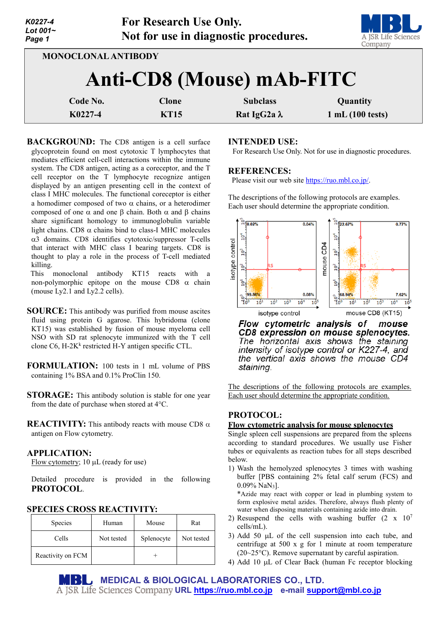| K0227-4<br>Lot $001-$<br>Page 1 |                     | <b>For Research Use Only.</b> | Not for use in diagnostic procedures.  | A JSR Life Sciences<br>Company |
|---------------------------------|---------------------|-------------------------------|----------------------------------------|--------------------------------|
|                                 | MONOCLONAL ANTIBODY |                               | Anti-CD8 (Mouse) mAb-FITC              |                                |
| K0227-4                         | Code No.            | <b>Clone</b><br><b>KT15</b>   | <b>Subclass</b><br>Rat IgG2a $\lambda$ | Quantity<br>1 mL(100 tests)    |

**BACKGROUND:** The CD8 antigen is a cell surface glycoprotein found on most cytotoxic T lymphocytes that mediates efficient cell-cell interactions within the immune system. The CD8 antigen, acting as a coreceptor, and the T cell receptor on the T lymphocyte recognize antigen displayed by an antigen presenting cell in the context of class I MHC molecules. The functional coreceptor is either a homodimer composed of two  $\alpha$  chains, or a heterodimer composed of one  $\alpha$  and one β chain. Both  $\alpha$  and β chains share significant homology to immunoglobulin variable light chains. CD8  $\alpha$  chains bind to class-I MHC molecules α3 domains. CD8 identifies cytotoxic/suppressor T-cells that interact with MHC class I bearing targets. CD8 is thought to play a role in the process of T-cell mediated killing.

This monoclonal antibody KT15 reacts with a non-polymorphic epitope on the mouse CD8  $\alpha$  chain (mouse Ly2.1 and Ly2.2 cells).

**SOURCE:** This antibody was purified from mouse ascites fluid using protein G agarose. This hybridoma (clone KT15) was established by fusion of mouse myeloma cell NSO with SD rat splenocyte immunized with the T cell clone C6,  $H-2K<sup>k</sup>$  restricted H-Y antigen specific CTL.

**FORMULATION:** 100 tests in 1 mL volume of PBS containing 1% BSA and 0.1% ProClin 150.

**STORAGE:** This antibody solution is stable for one year from the date of purchase when stored at 4°C.

**REACTIVITY:** This antibody reacts with mouse CD8 α antigen on Flow cytometry.

## **APPLICATION:**

Flow cytometry; 10 µL (ready for use)

Detailed procedure is provided in the following **PROTOCOL**.

## **SPECIES CROSS REACTIVITY:**

| Species           | Human      | Mouse      | Rat        |
|-------------------|------------|------------|------------|
| Cells             | Not tested | Splenocyte | Not tested |
| Reactivity on FCM |            |            |            |

### **INTENDED USE:**

For Research Use Only. Not for use in diagnostic procedures.

#### **REFERENCES:**

Please visit our web site [https://ruo.mbl.co.jp/.](https://ruo.mbl.co.jp/)

The descriptions of the following protocols are examples. Each user should determine the appropriate condition.



Flow cytometric analysis of mouse CD8 expression on mouse splenocytes. The horizontal axis shows the staining intensity of isotype control or K227-4, and the vertical axis shows the mouse CD4 staining.

The descriptions of the following protocols are examples. Each user should determine the appropriate condition.

# **PROTOCOL:**

### **Flow cytometric analysis for mouse splenocytes**

Single spleen cell suspensions are prepared from the spleens according to standard procedures. We usually use Fisher tubes or equivalents as reaction tubes for all steps described below.

1) Wash the hemolyzed splenocytes 3 times with washing buffer [PBS containing 2% fetal calf serum (FCS) and 0.09% NaN3].

\*Azide may react with copper or lead in plumbing system to form explosive metal azides. Therefore, always flush plenty of water when disposing materials containing azide into drain.

- 2) Resuspend the cells with washing buffer  $(2 \times 10^7)$ cells/mL).
- 3) Add 50 µL of the cell suspension into each tube, and centrifuge at 500 x g for 1 minute at room temperature (20~25°C). Remove supernatant by careful aspiration.
- 4) Add 10 µL of Clear Back (human Fc receptor blocking

**MEDICAL & BIOLOGICAL LABORATORIES CO., LTD. URL [https://ruo.mbl.co.jp](https://ruo.mbl.co.jp/) e-mail [support@mbl.co.jp](mailto:support@mbl.co.jp)**